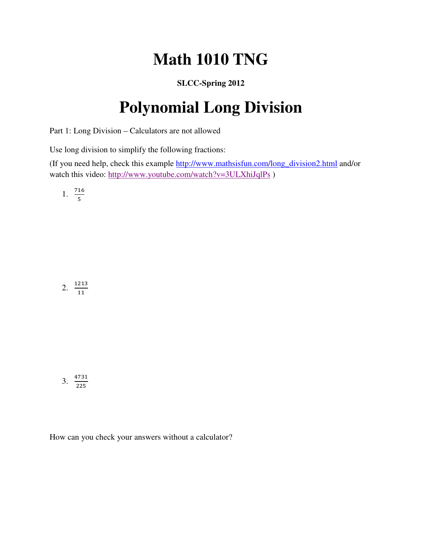## **Math 1010 TNG**

## **SLCC-Spring 2012**

## **Polynomial Long Division**

Part 1: Long Division – Calculators are not allowed

Use long division to simplify the following fractions:

(If you need help, check this example http://www.mathsisfun.com/long\_division2.html and/or watch this video: http://www.youtube.com/watch?v=3ULXhiJqlPs )

1. 
$$
\frac{716}{5}
$$

2.  $\frac{1213}{11}$  $11$ 

$$
3. \ \frac{4731}{225}
$$

How can you check your answers without a calculator?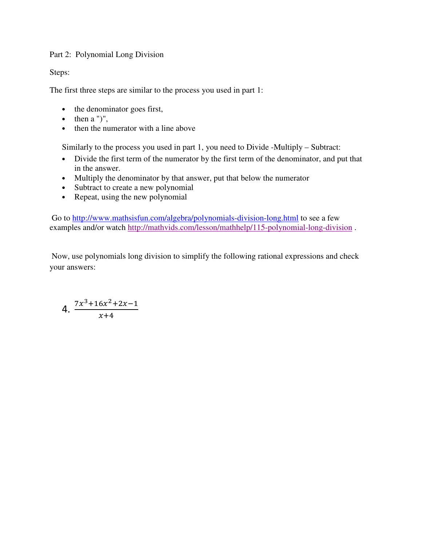## Part 2: Polynomial Long Division

Steps:

The first three steps are similar to the process you used in part 1:

- the denominator goes first,
- $\bullet$  then a ")",
- then the numerator with a line above

Similarly to the process you used in part 1, you need to Divide -Multiply – Subtract:

- Divide the first term of the numerator by the first term of the denominator, and put that in the answer.
- Multiply the denominator by that answer, put that below the numerator
- Subtract to create a new polynomial
- Repeat, using the new polynomial

 Go to http://www.mathsisfun.com/algebra/polynomials-division-long.html to see a few examples and/or watch http://mathvids.com/lesson/mathhelp/115-polynomial-long-division .

 Now, use polynomials long division to simplify the following rational expressions and check your answers:

4. 
$$
\frac{7x^3+16x^2+2x-1}{x+4}
$$